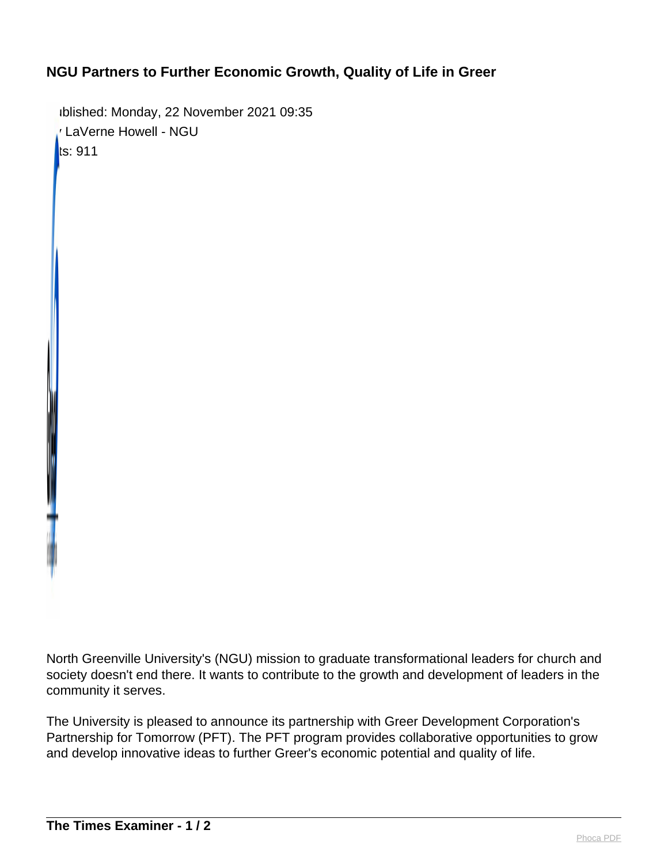## **NGU Partners to Further Economic Growth, Quality of Life in Greer**

Published: Monday, 22 November 2021 09:35 By LaVerne Howell - NGU  $ts: 911$ 

North Greenville University's (NGU) mission to graduate transformational leaders for church and society doesn't end there. It wants to contribute to the growth and development of leaders in the community it serves.

The University is pleased to announce its partnership with Greer Development Corporation's Partnership for Tomorrow (PFT). The PFT program provides collaborative opportunities to grow and develop innovative ideas to further Greer's economic potential and quality of life.